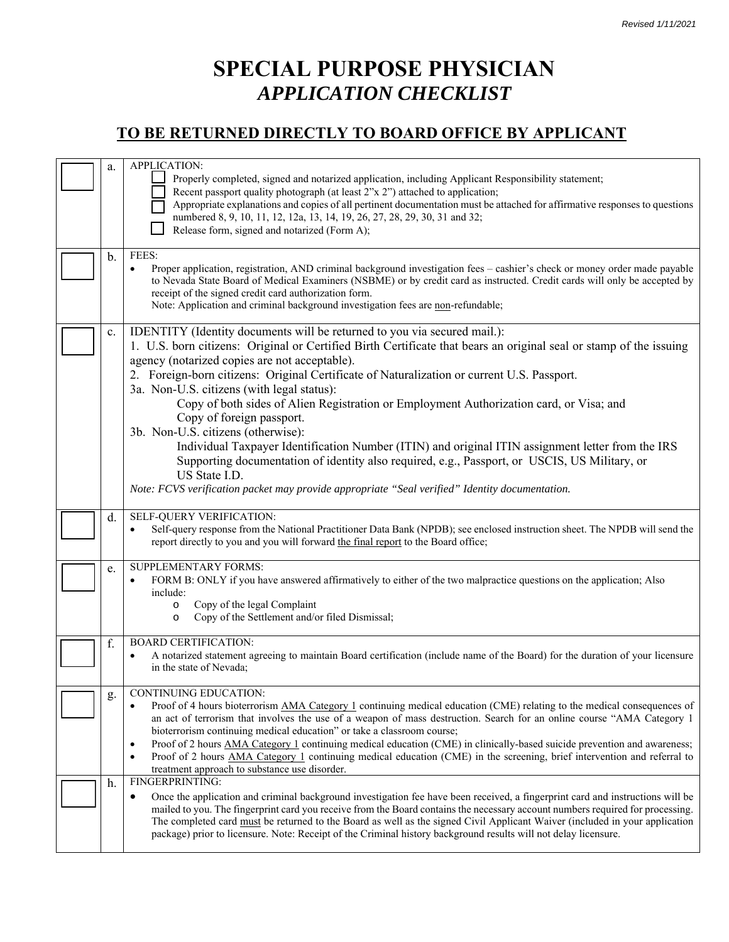## **SPECIAL PURPOSE PHYSICIAN**  *APPLICATION CHECKLIST*

## **TO BE RETURNED DIRECTLY TO BOARD OFFICE BY APPLICANT**

| a.       | APPLICATION:<br>Properly completed, signed and notarized application, including Applicant Responsibility statement;<br>Recent passport quality photograph (at least 2"x 2") attached to application;<br>Appropriate explanations and copies of all pertinent documentation must be attached for affirmative responses to questions<br>numbered 8, 9, 10, 11, 12, 12a, 13, 14, 19, 26, 27, 28, 29, 30, 31 and 32;<br>Release form, signed and notarized (Form A);                                                                                                                                                                                                                                                                                                                                                                                                                                                                                                                                                                                                                                                                                                                                                                             |
|----------|----------------------------------------------------------------------------------------------------------------------------------------------------------------------------------------------------------------------------------------------------------------------------------------------------------------------------------------------------------------------------------------------------------------------------------------------------------------------------------------------------------------------------------------------------------------------------------------------------------------------------------------------------------------------------------------------------------------------------------------------------------------------------------------------------------------------------------------------------------------------------------------------------------------------------------------------------------------------------------------------------------------------------------------------------------------------------------------------------------------------------------------------------------------------------------------------------------------------------------------------|
| b.       | FEES:<br>Proper application, registration, AND criminal background investigation fees - cashier's check or money order made payable<br>$\bullet$<br>to Nevada State Board of Medical Examiners (NSBME) or by credit card as instructed. Credit cards will only be accepted by<br>receipt of the signed credit card authorization form.<br>Note: Application and criminal background investigation fees are non-refundable;                                                                                                                                                                                                                                                                                                                                                                                                                                                                                                                                                                                                                                                                                                                                                                                                                   |
| c.       | IDENTITY (Identity documents will be returned to you via secured mail.):<br>1. U.S. born citizens: Original or Certified Birth Certificate that bears an original seal or stamp of the issuing<br>agency (notarized copies are not acceptable).<br>2. Foreign-born citizens: Original Certificate of Naturalization or current U.S. Passport.<br>3a. Non-U.S. citizens (with legal status):<br>Copy of both sides of Alien Registration or Employment Authorization card, or Visa; and<br>Copy of foreign passport.<br>3b. Non-U.S. citizens (otherwise):<br>Individual Taxpayer Identification Number (ITIN) and original ITIN assignment letter from the IRS<br>Supporting documentation of identity also required, e.g., Passport, or USCIS, US Military, or<br>US State I.D.<br>Note: FCVS verification packet may provide appropriate "Seal verified" Identity documentation.                                                                                                                                                                                                                                                                                                                                                           |
| d.       | SELF-QUERY VERIFICATION:<br>Self-query response from the National Practitioner Data Bank (NPDB); see enclosed instruction sheet. The NPDB will send the<br>$\bullet$<br>report directly to you and you will forward the final report to the Board office;                                                                                                                                                                                                                                                                                                                                                                                                                                                                                                                                                                                                                                                                                                                                                                                                                                                                                                                                                                                    |
| e.       | SUPPLEMENTARY FORMS:<br>FORM B: ONLY if you have answered affirmatively to either of the two malpractice questions on the application; Also<br>$\bullet$<br>include:<br>Copy of the legal Complaint<br>$\circ$<br>Copy of the Settlement and/or filed Dismissal;<br>$\circ$                                                                                                                                                                                                                                                                                                                                                                                                                                                                                                                                                                                                                                                                                                                                                                                                                                                                                                                                                                  |
| f.       | <b>BOARD CERTIFICATION:</b><br>A notarized statement agreeing to maintain Board certification (include name of the Board) for the duration of your licensure<br>$\bullet$<br>in the state of Nevada;                                                                                                                                                                                                                                                                                                                                                                                                                                                                                                                                                                                                                                                                                                                                                                                                                                                                                                                                                                                                                                         |
| g.<br>h. | CONTINUING EDUCATION:<br>Proof of 4 hours bioterrorism AMA Category 1 continuing medical education (CME) relating to the medical consequences of<br>$\bullet$<br>an act of terrorism that involves the use of a weapon of mass destruction. Search for an online course "AMA Category 1<br>bioterrorism continuing medical education" or take a classroom course;<br>Proof of 2 hours AMA Category 1 continuing medical education (CME) in clinically-based suicide prevention and awareness;<br>$\bullet$<br>Proof of 2 hours AMA Category 1 continuing medical education (CME) in the screening, brief intervention and referral to<br>$\bullet$<br>treatment approach to substance use disorder.<br>FINGERPRINTING:<br>Once the application and criminal background investigation fee have been received, a fingerprint card and instructions will be<br>mailed to you. The fingerprint card you receive from the Board contains the necessary account numbers required for processing.<br>The completed card must be returned to the Board as well as the signed Civil Applicant Waiver (included in your application<br>package) prior to licensure. Note: Receipt of the Criminal history background results will not delay licensure. |